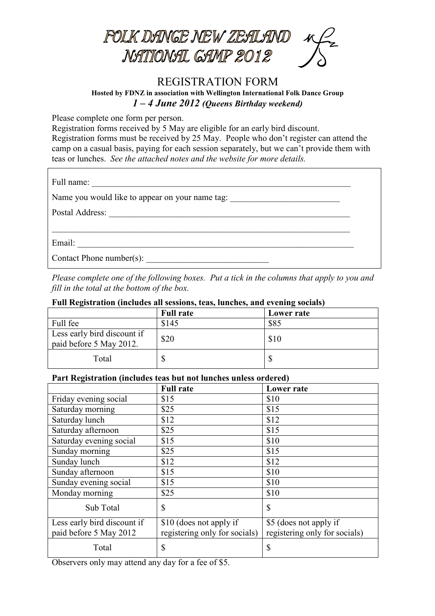

## REGISTRATION FORM **Hosted by FDNZ in association with Wellington International Folk Dance Group** *1 – 4 June 2012 (Queens Birthday weekend)*

Please complete one form per person.

Registration forms received by 5 May are eligible for an early bird discount.

Registration forms must be received by 25 May. People who don't register can attend the camp on a casual basis, paying for each session separately, but we can't provide them with teas or lunches. *See the attached notes and the website for more details.*

| Name you would like to appear on your name tag: |  |
|-------------------------------------------------|--|
|                                                 |  |
|                                                 |  |
|                                                 |  |
| Contact Phone number(s):                        |  |

*Please complete one of the following boxes. Put a tick in the columns that apply to you and fill in the total at the bottom of the box.*

|  |  | Full Registration (includes all sessions, teas, lunches, and evening socials) |
|--|--|-------------------------------------------------------------------------------|
|  |  |                                                                               |

|                                                        | <b>Full rate</b> | Lower rate |
|--------------------------------------------------------|------------------|------------|
| Full fee                                               | \$145            | \$85       |
| Less early bird discount if<br>paid before 5 May 2012. | \$20             | \$10       |
| Total                                                  |                  | Φ          |

## **Part Registration (includes teas but not lunches unless ordered)**

|                             | <b>Full rate</b>              | <b>Lower rate</b>             |
|-----------------------------|-------------------------------|-------------------------------|
| Friday evening social       | \$15                          | \$10                          |
| Saturday morning            | \$25                          | \$15                          |
| Saturday lunch              | \$12                          | \$12                          |
| Saturday afternoon          | \$25                          | \$15                          |
| Saturday evening social     | \$15                          | \$10                          |
| Sunday morning              | \$25                          | \$15                          |
| Sunday lunch                | \$12                          | \$12                          |
| Sunday afternoon            | \$15                          | \$10                          |
| Sunday evening social       | \$15                          | \$10                          |
| Monday morning              | \$25                          | \$10                          |
| Sub Total                   | $\mathbb{S}$                  | \$                            |
| Less early bird discount if | \$10 (does not apply if       | \$5 (does not apply if        |
| paid before 5 May 2012      | registering only for socials) | registering only for socials) |
| Total                       | $\mathcal{S}$                 | \$                            |

Observers only may attend any day for a fee of \$5.